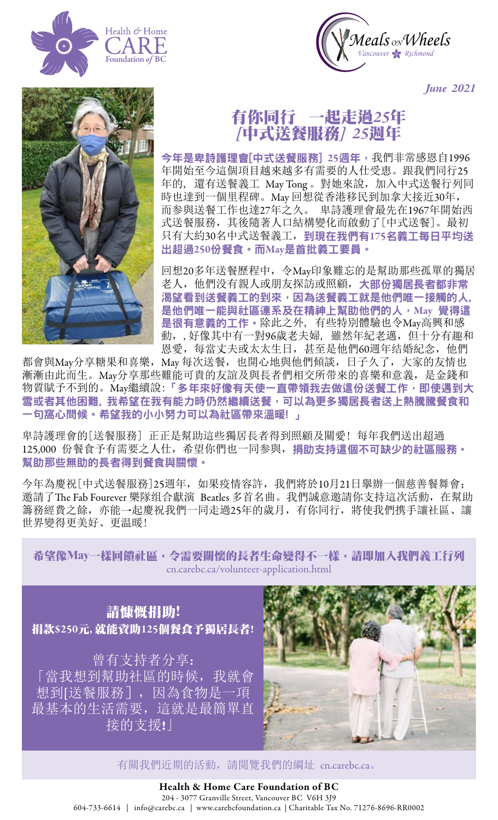



*June 2021*



## 有你同行一起走過*25*年 *[*中式送餐服務*] 25*週年

今年是卑詩護理會[中式送餐服務] 25週年,我們非常感恩自1996 年開始至今這個項目越來越多有需要的人仕受恵。跟我們同行25 年的, 還有送餐義工 May Tong。對她來說, 加入中式送餐行列同 時也達到一個里程碑。May 回想從香港移民到加拿大接近30年, 而参與送餐工作也達27年之久。 卑詩護理會最先在1967年開始西 式送餐服務,其後隨著人口結構變化而啟動了[中式送餐]。最初 只有大約30名中式送餐義工,到現在我們有175名義工每日平均送 出超過250份餐食。而May是首批義工要員。

回想20多年送餐歷程中,令May印象難忘的是幫助那些孤單的獨居 老人,他們没有親人或朋友探訪或照顧,大部份獨居長者都非常 渴望看到送餐義工的到來,因為送餐義工就是他們唯一接觸的人, 是他們唯一能與社區連系及在精神上幫助他們的人, May 覺得這 是很有意義的工作。除此之外, 有些特別體驗也令May高興和感 動,,好像其中有一對96歲老夫婦, 雖然年紀老邁,但十分有趣和 恩愛,每當丈夫或太太生日,甚至是他們60週年结婚紀念,他們

都會與May分享糖果和喜樂,May 每次送餐,也開心地與他們傾談,日子久了,大家的友情也 漸漸由此而生。May分享那些難能可貴的友誼及與長者們相交所带來的喜樂和意義,是金錢和 物質賦予不到的。May繼續說:「多年來好像有天使一直帶領我去做這份送餐工作,即使遇到大 雪或者其他困難, 我希望在我有能力時仍然繼續送餐, 可以為更多獨居長者送上熱騰騰餐食和 一句窩心問候。希望我的小小努力可以為社區帶來溫暖! 」

卑詩護理會的[送餐服務] 正正是幫助這些獨居長者得到照顧及關愛! 每年我們送出超過 125,000 份餐食予有需要之人仕,希望你們也一同参與, 捐助支持這個不可缺少的社區服務。 幫助那些無助的長者得到餐食與關懷。

今年為慶祝[中式送餐服務]25週年,如果疫情容許,我們將於10月21日擧辦一個慈善餐舞會; 邀請了The Fab Fourever 樂隊组合獻演 Beatles 多首名曲。我們誠意邀請你支持這次活動,在幫助 籌務經費之餘,亦能一起慶祝我們一同走過25年的歲月,有你同行,將使我們携手讓社區、讓 世界變得更美好、更温暖!

希望像May一樣回饋社區,令需要關懷的長者生命變得不一樣,請即加入我們義工行列 [cn.carebc.ca/volunteer-application.html](https://cn.carebc.ca/volunteer-application.html)

請慷慨捐助! 捐款\$250元, 就能資助125個餐食予獨居長者! 曾有支持者分享: 「當我想到幫助社區的時候,我就會

想到[送餐服務],因為食物是一項 最基本的生活需要,這就是最簡單直 接的支援!」



有關我們近期的活動,請閱覽我們的綱址 [cn.carebc.ca](https://cn.carebc.ca/)。